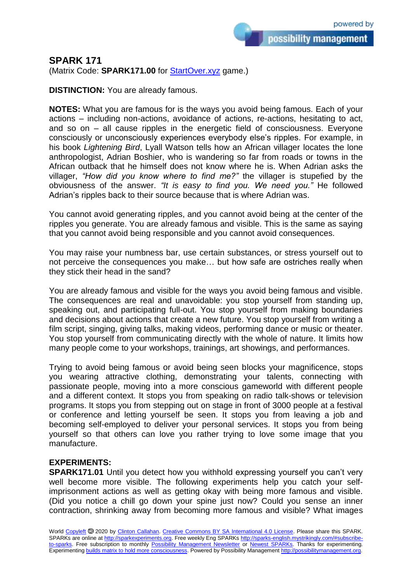possibility management

## **SPARK 171**

(Matrix Code: **SPARK171.00** for **StartOver.xyz** game.)

**DISTINCTION:** You are already famous.

**NOTES:** What you are famous for is the ways you avoid being famous. Each of your actions – including non-actions, avoidance of actions, re-actions, hesitating to act, and so on – all cause ripples in the energetic field of consciousness. Everyone consciously or unconsciously experiences everybody else's ripples. For example, in his book *Lightening Bird*, Lyall Watson tells how an African villager locates the lone anthropologist, Adrian Boshier, who is wandering so far from roads or towns in the African outback that he himself does not know where he is. When Adrian asks the villager, *"How did you know where to find me?"* the villager is stupefied by the obviousness of the answer. *"It is easy to find you. We need you."* He followed Adrian's ripples back to their source because that is where Adrian was.

You cannot avoid generating ripples, and you cannot avoid being at the center of the ripples you generate. You are already famous and visible. This is the same as saying that you cannot avoid being responsible and you cannot avoid consequences.

You may raise your numbness bar, use certain substances, or stress yourself out to not perceive the consequences you make… but how safe are ostriches really when they stick their head in the sand?

You are already famous and visible for the ways you avoid being famous and visible. The consequences are real and unavoidable: you stop yourself from standing up, speaking out, and participating full-out. You stop yourself from making boundaries and decisions about actions that create a new future. You stop yourself from writing a film script, singing, giving talks, making videos, performing dance or music or theater. You stop yourself from communicating directly with the whole of nature. It limits how many people come to your workshops, trainings, art showings, and performances.

Trying to avoid being famous or avoid being seen blocks your magnificence, stops you wearing attractive clothing, demonstrating your talents, connecting with passionate people, moving into a more conscious gameworld with different people and a different context. It stops you from speaking on radio talk-shows or television programs. It stops you from stepping out on stage in front of 3000 people at a festival or conference and letting yourself be seen. It stops you from leaving a job and becoming self-employed to deliver your personal services. It stops you from being yourself so that others can love you rather trying to love some image that you manufacture.

## **EXPERIMENTS:**

**SPARK171.01** Until you detect how you withhold expressing yourself you can't very well become more visible. The following experiments help you catch your selfimprisonment actions as well as getting okay with being more famous and visible. (Did you notice a chill go down your spine just now? Could you sense an inner contraction, shrinking away from becoming more famous and visible? What images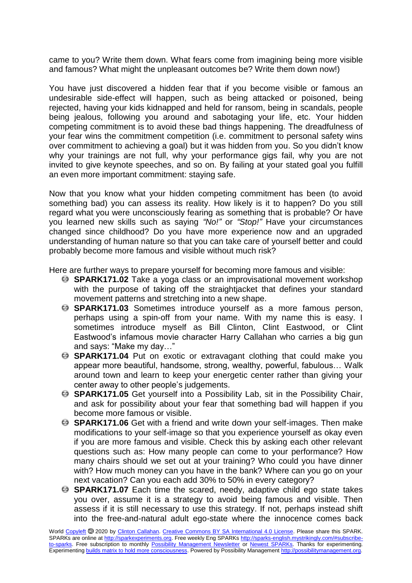came to you? Write them down. What fears come from imagining being more visible and famous? What might the unpleasant outcomes be? Write them down now!)

You have just discovered a hidden fear that if you become visible or famous an undesirable side-effect will happen, such as being attacked or poisoned, being rejected, having your kids kidnapped and held for ransom, being in scandals, people being jealous, following you around and sabotaging your life, etc. Your hidden competing commitment is to avoid these bad things happening. The dreadfulness of your fear wins the commitment competition (i.e. commitment to personal safety wins over commitment to achieving a goal) but it was hidden from you. So you didn't know why your trainings are not full, why your performance gigs fail, why you are not invited to give keynote speeches, and so on. By failing at your stated goal you fulfill an even more important commitment: staying safe.

Now that you know what your hidden competing commitment has been (to avoid something bad) you can assess its reality. How likely is it to happen? Do you still regard what you were unconsciously fearing as something that is probable? Or have you learned new skills such as saying *"No!"* or *"Stop!"* Have your circumstances changed since childhood? Do you have more experience now and an upgraded understanding of human nature so that you can take care of yourself better and could probably become more famous and visible without much risk?

Here are further ways to prepare yourself for becoming more famous and visible:

- **SPARK171.02** Take a yoga class or an improvisational movement workshop with the purpose of taking off the straightjacket that defines your standard movement patterns and stretching into a new shape.
- **SPARK171.03** Sometimes introduce yourself as a more famous person, perhaps using a spin-off from your name. With my name this is easy. I sometimes introduce myself as Bill Clinton, Clint Eastwood, or Clint Eastwood's infamous movie character Harry Callahan who carries a big gun and says: "Make my day…"
- **B SPARK171.04** Put on exotic or extravagant clothing that could make you appear more beautiful, handsome, strong, wealthy, powerful, fabulous… Walk around town and learn to keep your energetic center rather than giving your center away to other people's judgements.
- **SPARK171.05** Get yourself into a Possibility Lab, sit in the Possibility Chair, and ask for possibility about your fear that something bad will happen if you become more famous or visible.
- **SPARK171.06** Get with a friend and write down your self-images. Then make modifications to your self-image so that you experience yourself as okay even if you are more famous and visible. Check this by asking each other relevant questions such as: How many people can come to your performance? How many chairs should we set out at your training? Who could you have dinner with? How much money can you have in the bank? Where can you go on your next vacation? Can you each add 30% to 50% in every category?
- **SPARK171.07** Each time the scared, needy, adaptive child ego state takes you over, assume it is a strategy to avoid being famous and visible. Then assess if it is still necessary to use this strategy. If not, perhaps instead shift into the free-and-natural adult ego-state where the innocence comes back